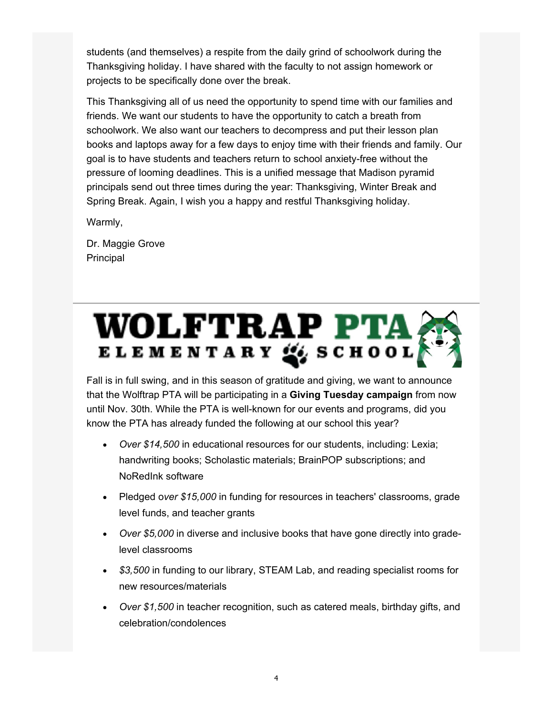students (and themselves) a respite from the daily grind of schoolwork during the Thanksgiving holiday. I have shared with the faculty to not assign homework or projects to be specifically done over the break.

This Thanksgiving all of us need the opportunity to spend time with our families and friends. We want our students to have the opportunity to catch a breath from schoolwork. We also want our teachers to decompress and put their lesson plan books and laptops away for a few days to enjoy time with their friends and family. Our goal is to have students and teachers return to school anxiety-free without the pressure of looming deadlines. This is a unified message that Madison pyramid principals send out three times during the year: Thanksgiving, Winter Break and Spring Break. Again, I wish you a happy and restful Thanksgiving holiday.

Warmly,

Dr. Maggie Grove Principal

Fall is in full swing, and in this season of gratitude and giving, we want to announce that the Wolftrap PTA will be participating in a **Giving Tuesday campaign** from now until Nov. 30th. While the PTA is well-known for our events and programs, did you know the PTA has already funded the following at our school this year?

- x Over \$14,500 in educational resources for our students, including: Lexia; handwriting books; Scholastic materials; BrainPOP subscriptions; and NoRedInk software
- x Pledged over \$15,000 in funding for resources in teachers' classrooms, grade level funds, and teacher grants
- x Over \$5,000 in diverse and inclusive books that have gone directly into gradelevel classrooms
- x \$3,500 in funding to our library, STEAM Lab, and reading specialist rooms for new resources/materials
- x Over \$1,500 in teacher recognition, such as catered meals, birthday gifts, and celebration/condolences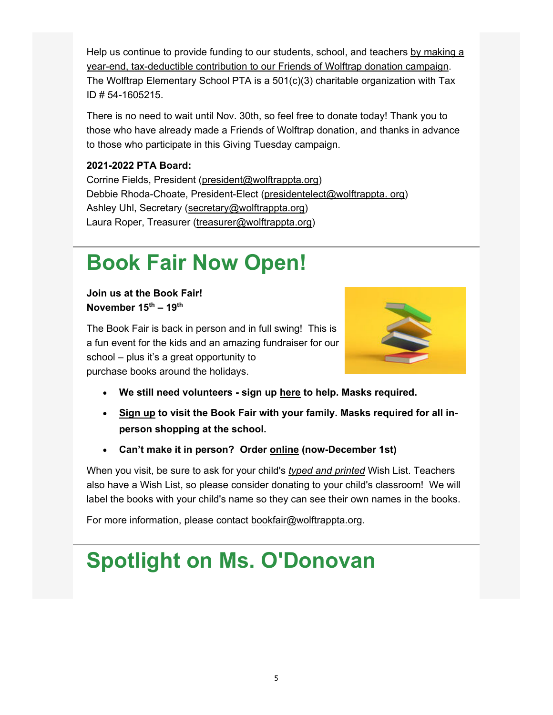Help us continue to provide funding to our students, school, and teachers by making a year-end, tax-deductible contribution to our Friends of Wolftrap donation campaign. The Wolftrap Elementary School PTA is a 501(c)(3) charitable organization with Tax ID # 54-1605215.

There is no need to wait until Nov. 30th, so feel free to donate today! Thank you to those who have already made a Friends of Wolftrap donation, and thanks in advance to those who participate in this Giving Tuesday campaign.

#### **2021-2022 PTA Board:**

Corrine Fields, President (president@wolftrappta.org) Debbie Rhoda-Choate, President-Elect (presidentelect@wolftrappta. org) Ashley Uhl, Secretary (secretary@wolftrappta.org) Laura Roper, Treasurer (treasurer@wolftrappta.org)

## **Book Fair Now Open!**

**Join us at the Book Fair! November 15th – 19th**

The Book Fair is back in person and in full swing! This is a fun event for the kids and an amazing fundraiser for our school – plus it's a great opportunity to purchase books around the holidays.



- **We still need volunteers sign up here to help. Masks required.**
- **Sign up to visit the Book Fair with your family. Masks required for all inperson shopping at the school.**
- **Can't make it in person? Order online (now-December 1st)**

When you visit, be sure to ask for your child's *typed and printed* Wish List. Teachers also have a Wish List, so please consider donating to your child's classroom! We will label the books with your child's name so they can see their own names in the books.

For more information, please contact bookfair@wolftrappta.org.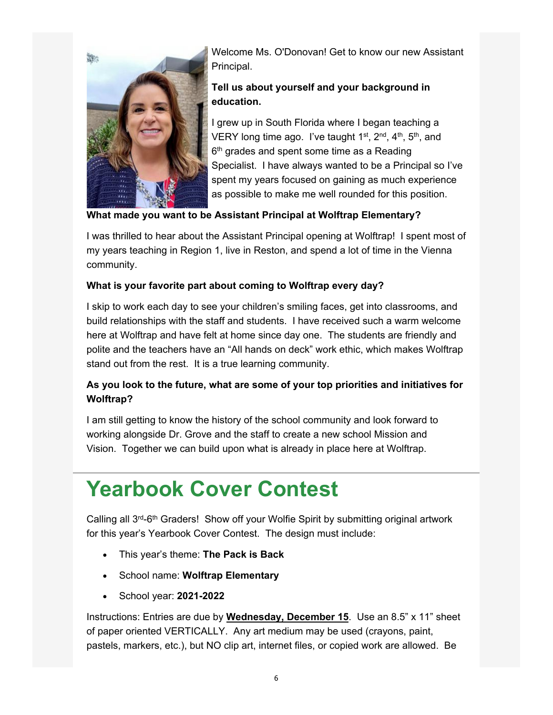### **Spotlight on Ms. O'Donovan**



Welcome Ms. O'Donovan! Get to know our new Assistant Principal.

### **Tell us about yourself and your background in education.**

I grew up in South Florida where I began teaching a VERY long time ago. I've taught  $1^{st}$ ,  $2^{nd}$ ,  $4^{th}$ ,  $5^{th}$ , and 6<sup>th</sup> grades and spent some time as a Reading Specialist. I have always wanted to be a Principal so I've spent my years focused on gaining as much experience as possible to make me well rounded for this position.

#### **What made you want to be Assistant Principal at Wolftrap Elementary?**

I was thrilled to hear about the Assistant Principal opening at Wolftrap! I spent most of my years teaching in Region 1, live in Reston, and spend a lot of time in the Vienna community.

#### **What is your favorite part about coming to Wolftrap every day?**

I skip to work each day to see your children's smiling faces, get into classrooms, and build relationships with the staff and students. I have received such a warm welcome here at Wolftrap and have felt at home since day one. The students are friendly and polite and the teachers have an "All hands on deck" work ethic, which makes Wolftrap stand out from the rest. It is a true learning community.

### **As you look to the future, what are some of your top priorities and initiatives for Wolftrap?**

I am still getting to know the history of the school community and look forward to working alongside Dr. Grove and the staff to create a new school Mission and Vision. Together we can build upon what is already in place here at Wolftrap.

## **Yearbook Cover Contest**

Calling all  $3^{rd}$ -6<sup>th</sup> Graders! Show off your Wolfie Spirit by submitting original artwork for this year's Yearbook Cover Contest. The design must include:

- This year's theme: **The Pack is Back**
- School name: **Wolftrap Elementary**
- School year: **2021-2022**

Instructions: Entries are due by **Wednesday, December 15**. Use an 8.5" x 11" sheet of paper oriented VERTICALLY. Any art medium may be used (crayons, paint, pastels, markers, etc.), but NO clip art, internet files, or copied work are allowed. Be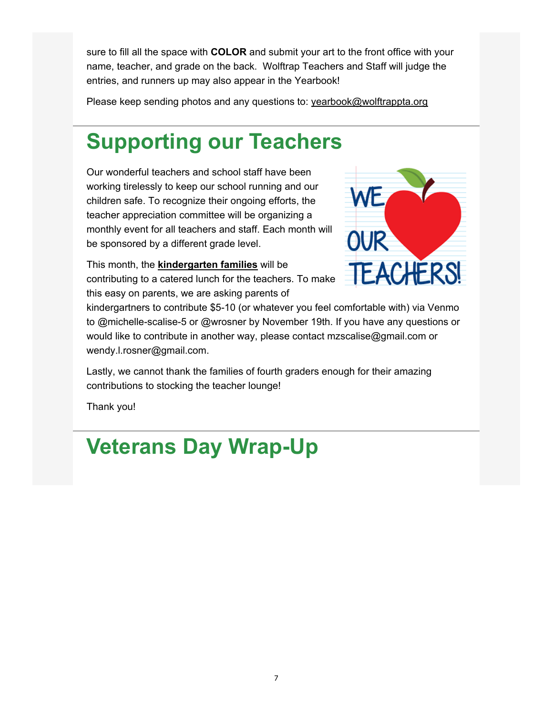sure to fill all the space with **COLOR** and submit your art to the front office with your name, teacher, and grade on the back. Wolftrap Teachers and Staff will judge the entries, and runners up may also appear in the Yearbook!

Please keep sending photos and any questions to: yearbook@wolftrappta.org

## **Supporting our Teachers**

Our wonderful teachers and school staff have been working tirelessly to keep our school running and our children safe. To recognize their ongoing efforts, the teacher appreciation committee will be organizing a monthly event for all teachers and staff. Each month will be sponsored by a different grade level.



This month, the **kindergarten families** will be contributing to a catered lunch for the teachers. To make this easy on parents, we are asking parents of

kindergartners to contribute \$5-10 (or whatever you feel comfortable with) via Venmo to @michelle-scalise-5 or @wrosner by November 19th. If you have any questions or would like to contribute in another way, please contact mzscalise@gmail.com or wendy.l.rosner@gmail.com.

Lastly, we cannot thank the families of fourth graders enough for their amazing contributions to stocking the teacher lounge!

Thank you!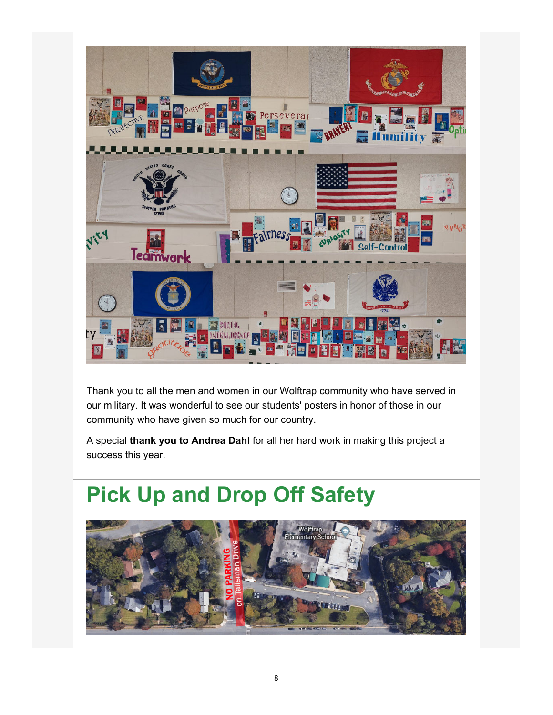### **Veterans Day Wrap-Up**



Thank you to all the men and women in our Wolftrap community who have served in our military. It was wonderful to see our students' posters in honor of those in our community who have given so much for our country.

A special **thank you to Andrea Dahl** for all her hard work in making this project a success this year.

## **Pick Up and Drop Off Safety**

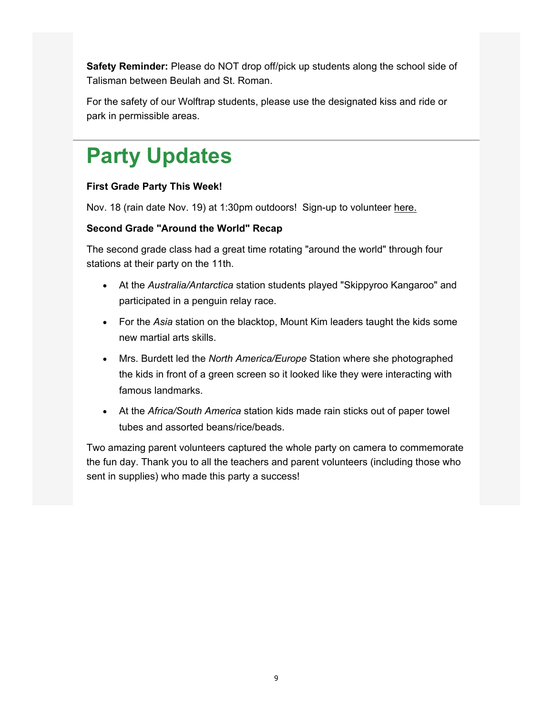**Safety Reminder:** Please do NOT drop off/pick up students along the school side of Talisman between Beulah and St. Roman.

For the safety of our Wolftrap students, please use the designated kiss and ride or park in permissible areas.

# **Party Updates**

#### **First Grade Party This Week!**

Nov. 18 (rain date Nov. 19) at 1:30pm outdoors! Sign-up to volunteer here.

#### **Second Grade "Around the World" Recap**

The second grade class had a great time rotating "around the world" through four stations at their party on the 11th.

- At the *Australia/Antarctica* station students played "Skippyroo Kangaroo" and participated in a penguin relay race.
- For the *Asia* station on the blacktop, Mount Kim leaders taught the kids some new martial arts skills.
- Mrs. Burdett led the *North America/Europe* Station where she photographed the kids in front of a green screen so it looked like they were interacting with famous landmarks.
- At the *Africa/South America* station kids made rain sticks out of paper towel tubes and assorted beans/rice/beads.

Two amazing parent volunteers captured the whole party on camera to commemorate the fun day. Thank you to all the teachers and parent volunteers (including those who sent in supplies) who made this party a success!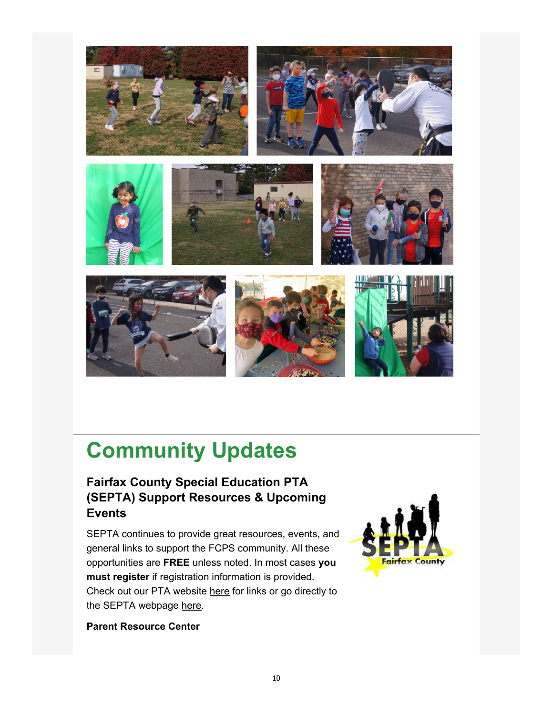

## **Community Updates**

### **Fairfax County Special Education PTA (SEPTA) Support Resources & Upcoming Events**

SEPTA continues to provide great resources, events, and general links to support the FCPS community. All these opportunities are **FREE** unless noted. In most cases **you must register** if registration information is provided. Check out our PTA website here for links or go directly to the SEPTA webpage here.



**Parent Resource Center**